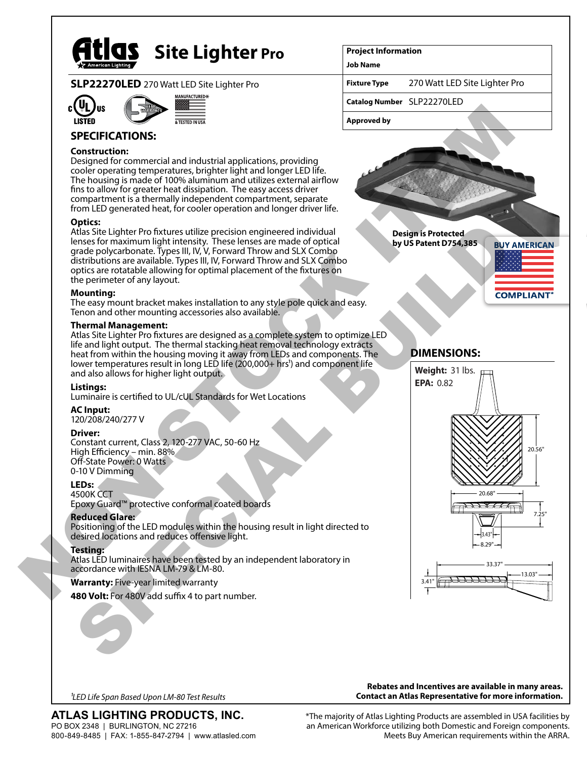

# **Site Lighter Pro**

**SLP22270LED** 270 Watt LED Site Lighter Pro





### **SPECIFICATIONS:**

#### **Construction:**

Designed for commercial and industrial applications, providing cooler operating temperatures, brighter light and longer LED life. The housing is made of 100% aluminum and utilizes external airflow fins to allow for greater heat dissipation. The easy access driver compartment is a thermally independent compartment, separate from LED generated heat, for cooler operation and longer driver life.

#### **Optics:**

Atlas Site Lighter Pro fixtures utilize precision engineered individual lenses for maximum light intensity. These lenses are made of optical grade polycarbonate. Types III, IV, V, Forward Throw and SLX Combo distributions are available. Types III, IV, Forward Throw and SLX Combo optics are rotatable allowing for optimal placement of the fixtures on the perimeter of any layout.

#### **Mounting:**

The easy mount bracket makes installation to any style pole quick and easy. Tenon and other mounting accessories also available.

#### **Thermal Management:**

Atlas Site Lighter Pro fixtures are designed as a complete system to optimize LED life and light output. The thermal stacking heat removal technology extracts heat from within the housing moving it away from LEDs and components. The lower temperatures result in long LED life (200,000+ hrs<sup>1</sup>) and component life and also allows for higher light output. grade polycanonae: lypes III, IV, Kroward Infrow and SLX Combo<br>
optics are available il Types III, IV, Forward Throw and SLX Combo<br>
optics are crotable allowing for optimal placement of the fixtures on<br>
the perimeter of an

#### **Listings:**

Luminaire is certified to UL/cUL Standards for Wet Locations

#### **AC Input:**

120/208/240/277 V

#### **Driver:**

Constant current, Class 2, 120-277 VAC, 50-60 Hz High Efficiency – min. 88% Off-State Power: 0 Watts 0-10 V Dimming

#### **LEDs:**

4500K CCT Epoxy Guard™ protective conformal coated boards

#### **Reduced Glare:**

Positioning of the LED modules within the housing result in light directed to desired locations and reduces offensive light.

#### **Testing:**

Atlas LED luminaires have been tested by an independent laboratory in accordance with IESNA LM-79 & LM-80.

**Warranty:** Five-year limited warranty

480 Volt: For 480V add suffix 4 to part number.

#### **Project Information**

**Job Name**

**Fixture Type** 270 Watt LED Site Lighter Pro

**Catalog Number** SLP22270LED

**Approved by**





*1LED Life Span Based Upon LM-80 Test Results*

**ATLAS LIGHTING PRODUCTS, INC.** PO BOX 2348 | BURLINGTON, NC 27216 800-849-8485 | FAX: 1-855-847-2794 | www.atlasled.com

**Rebates and Incentives are available in many areas. Contact an Atlas Representative for more information.**

\*The majority of Atlas Lighting Products are assembled in USA facilities by an American Workforce utilizing both Domestic and Foreign components. Meets Buy American requirements within the ARRA.